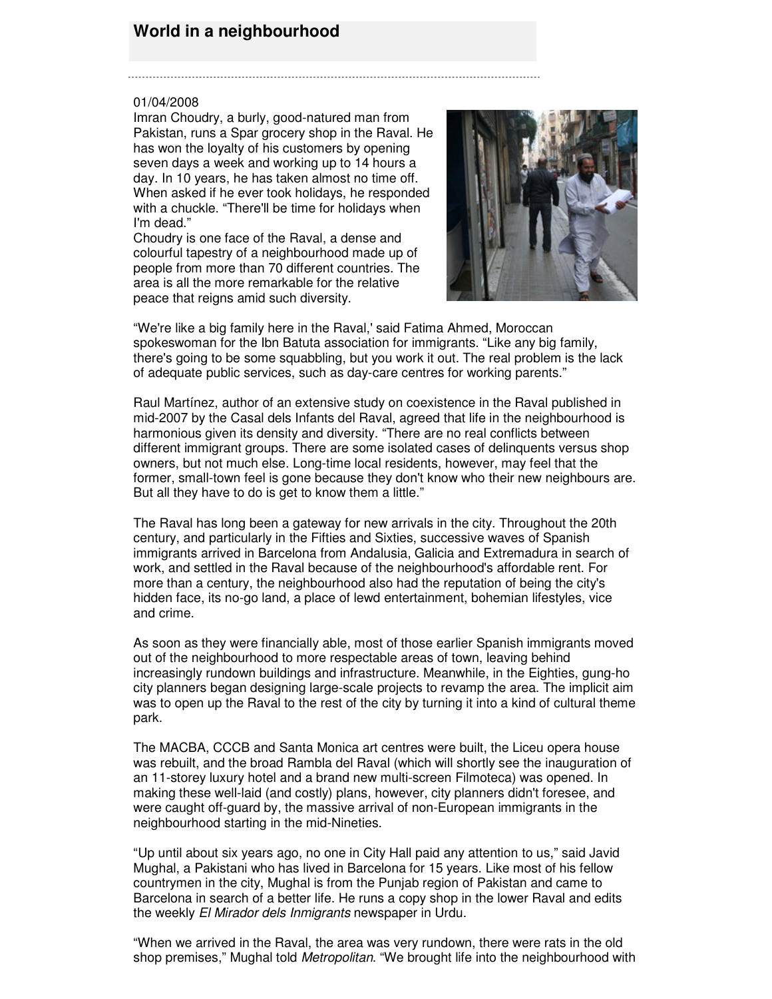## **World in a neighbourhood**

## 01/04/2008

Imran Choudry, a burly, good-natured man from Pakistan, runs a Spar grocery shop in the Raval. He has won the loyalty of his customers by opening seven days a week and working up to 14 hours a day. In 10 years, he has taken almost no time off. When asked if he ever took holidays, he responded with a chuckle. "There'll be time for holidays when I'm dead."

Choudry is one face of the Raval, a dense and colourful tapestry of a neighbourhood made up of people from more than 70 different countries. The area is all the more remarkable for the relative peace that reigns amid such diversity.



"We're like a big family here in the Raval,' said Fatima Ahmed, Moroccan spokeswoman for the Ibn Batuta association for immigrants. "Like any big family, there's going to be some squabbling, but you work it out. The real problem is the lack of adequate public services, such as day-care centres for working parents."

Raul Martínez, author of an extensive study on coexistence in the Raval published in mid-2007 by the Casal dels Infants del Raval, agreed that life in the neighbourhood is harmonious given its density and diversity. "There are no real conflicts between different immigrant groups. There are some isolated cases of delinquents versus shop owners, but not much else. Long-time local residents, however, may feel that the former, small-town feel is gone because they don't know who their new neighbours are. But all they have to do is get to know them a little."

The Raval has long been a gateway for new arrivals in the city. Throughout the 20th century, and particularly in the Fifties and Sixties, successive waves of Spanish immigrants arrived in Barcelona from Andalusia, Galicia and Extremadura in search of work, and settled in the Raval because of the neighbourhood's affordable rent. For more than a century, the neighbourhood also had the reputation of being the city's hidden face, its no-go land, a place of lewd entertainment, bohemian lifestyles, vice and crime.

As soon as they were financially able, most of those earlier Spanish immigrants moved out of the neighbourhood to more respectable areas of town, leaving behind increasingly rundown buildings and infrastructure. Meanwhile, in the Eighties, gung-ho city planners began designing large-scale projects to revamp the area. The implicit aim was to open up the Raval to the rest of the city by turning it into a kind of cultural theme park.

The MACBA, CCCB and Santa Monica art centres were built, the Liceu opera house was rebuilt, and the broad Rambla del Raval (which will shortly see the inauguration of an 11-storey luxury hotel and a brand new multi-screen Filmoteca) was opened. In making these well-laid (and costly) plans, however, city planners didn't foresee, and were caught off-guard by, the massive arrival of non-European immigrants in the neighbourhood starting in the mid-Nineties.

"Up until about six years ago, no one in City Hall paid any attention to us," said Javid Mughal, a Pakistani who has lived in Barcelona for 15 years. Like most of his fellow countrymen in the city, Mughal is from the Punjab region of Pakistan and came to Barcelona in search of a better life. He runs a copy shop in the lower Raval and edits the weekly *El Mirador dels Inmigrants* newspaper in Urdu.

"When we arrived in the Raval, the area was very rundown, there were rats in the old shop premises," Mughal told *Metropolitan*. "We brought life into the neighbourhood with